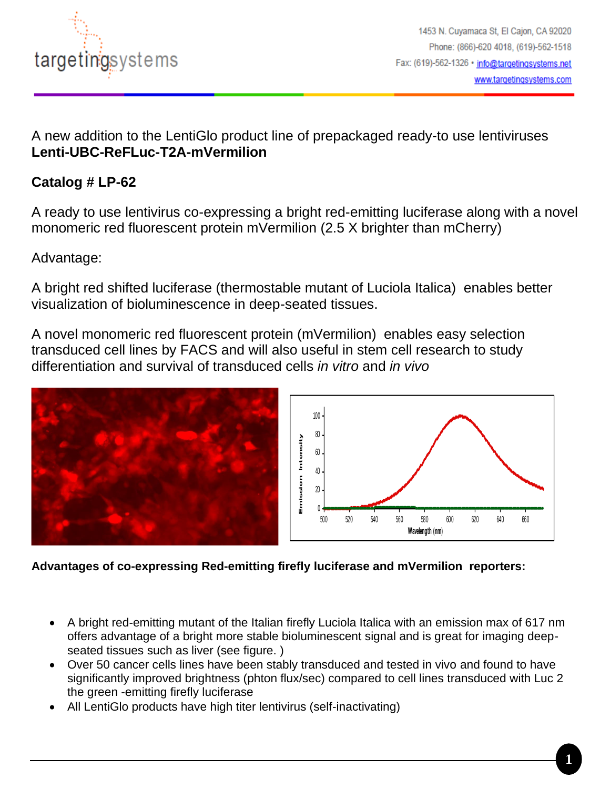

A new addition to the LentiGlo product line of prepackaged ready-to use lentiviruses **Lenti-UBC-ReFLuc-T2A-mVermilion**

## **Catalog # LP-62**

A ready to use lentivirus co-expressing a bright red-emitting luciferase along with a novel monomeric red fluorescent protein mVermilion (2.5 X brighter than mCherry)

Advantage:

A bright red shifted luciferase (thermostable mutant of Luciola Italica) enables better visualization of bioluminescence in deep-seated tissues.

A novel monomeric red fluorescent protein (mVermilion) enables easy selection transduced cell lines by FACS and will also useful in stem cell research to study differentiation and survival of transduced cells *in vitro* and *in vivo*





**Advantages of co-expressing Red-emitting firefly luciferase and mVermilion reporters:** 

- A bright red-emitting mutant of the Italian firefly Luciola Italica with an emission max of 617 nm offers advantage of a bright more stable bioluminescent signal and is great for imaging deepseated tissues such as liver (see figure. )
- Over 50 cancer cells lines have been stably transduced and tested in vivo and found to have significantly improved brightness (phton flux/sec) compared to cell lines transduced with Luc 2 the green -emitting firefly luciferase
- All LentiGlo products have high titer lentivirus (self-inactivating)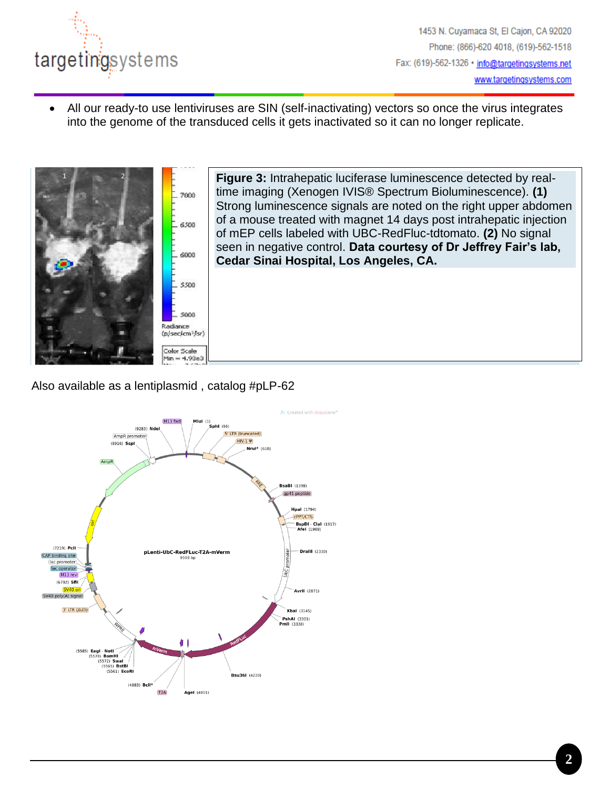

• All our ready-to use lentiviruses are SIN (self-inactivating) vectors so once the virus integrates into the genome of the transduced cells it gets inactivated so it can no longer replicate.



Also available as a lentiplasmid , catalog #pLP-62